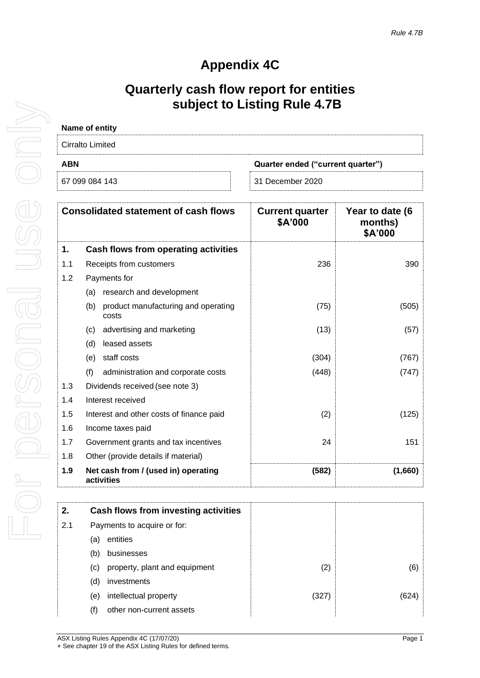## **Appendix 4C**

## **Quarterly cash flow report for entities subject to Listing Rule 4.7B**

| Name of entity                                  |                  |  |
|-------------------------------------------------|------------------|--|
| Cirralto Limited                                |                  |  |
| <b>ABN</b><br>Quarter ended ("current quarter") |                  |  |
| 67 099 084 143                                  | 31 December 2020 |  |

| <b>Consolidated statement of cash flows</b> |                                                     | <b>Current quarter</b><br>\$A'000 | Year to date (6<br>months)<br>\$A'000 |
|---------------------------------------------|-----------------------------------------------------|-----------------------------------|---------------------------------------|
| 1.                                          | <b>Cash flows from operating activities</b>         |                                   |                                       |
| 1.1                                         | Receipts from customers                             | 236                               | 390                                   |
| 1.2                                         | Payments for                                        |                                   |                                       |
|                                             | research and development<br>(a)                     |                                   |                                       |
|                                             | product manufacturing and operating<br>(b)<br>costs | (75)                              | (505)                                 |
|                                             | advertising and marketing<br>(c)                    | (13)                              | (57)                                  |
|                                             | leased assets<br>(d)                                |                                   |                                       |
|                                             | staff costs<br>(e)                                  | (304)                             | (767)                                 |
|                                             | (f)<br>administration and corporate costs           | (448)                             | (747)                                 |
| 1.3                                         | Dividends received (see note 3)                     |                                   |                                       |
| 1.4                                         | Interest received                                   |                                   |                                       |
| 1.5                                         | Interest and other costs of finance paid            | (2)                               | (125)                                 |
| 1.6                                         | Income taxes paid                                   |                                   |                                       |
| 1.7                                         | Government grants and tax incentives                | 24                                | 151                                   |
| 1.8                                         | Other (provide details if material)                 |                                   |                                       |
| 1.9                                         | Net cash from / (used in) operating<br>activities   | (582)                             | (1,660)                               |

| 2.  |                             | Cash flows from investing activities |       |     |
|-----|-----------------------------|--------------------------------------|-------|-----|
| 2.1 | Payments to acquire or for: |                                      |       |     |
|     | (a)                         | entities                             |       |     |
|     | (b)                         | businesses                           |       |     |
|     | (C)                         | property, plant and equipment        | (2)   | (6) |
|     | (d)                         | investments                          |       |     |
|     | (e)                         | intellectual property                | (327) |     |
|     | (f)                         | other non-current assets             |       |     |
|     |                             |                                      |       |     |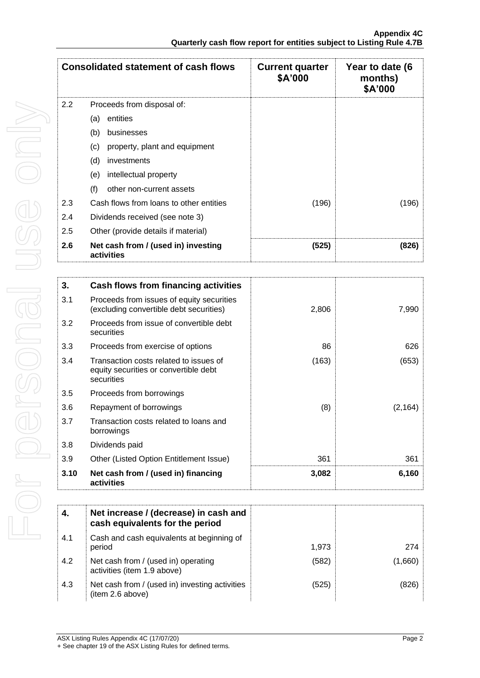|     | <b>Consolidated statement of cash flows</b>       | <b>Current quarter</b><br>\$A'000 | Year to date (6<br>months)<br>\$A'000 |
|-----|---------------------------------------------------|-----------------------------------|---------------------------------------|
| 2.2 | Proceeds from disposal of:                        |                                   |                                       |
|     | entities<br>(a)                                   |                                   |                                       |
|     | (b)<br>businesses                                 |                                   |                                       |
|     | (c)<br>property, plant and equipment              |                                   |                                       |
|     | (d)<br>investments                                |                                   |                                       |
|     | intellectual property<br>(e)                      |                                   |                                       |
|     | (f)<br>other non-current assets                   |                                   |                                       |
| 2.3 | Cash flows from loans to other entities           | (196)                             | (196)                                 |
| 2.4 | Dividends received (see note 3)                   |                                   |                                       |
| 2.5 | Other (provide details if material)               |                                   |                                       |
| 2.6 | Net cash from / (used in) investing<br>activities | (525)                             | (826)                                 |

| 3.   | Cash flows from financing activities                                                          |       |          |
|------|-----------------------------------------------------------------------------------------------|-------|----------|
| 3.1  | Proceeds from issues of equity securities<br>(excluding convertible debt securities)          | 2,806 | 7,990    |
| 3.2  | Proceeds from issue of convertible debt<br>securities                                         |       |          |
| 3.3  | Proceeds from exercise of options                                                             | 86    | 626      |
| 3.4  | Transaction costs related to issues of<br>equity securities or convertible debt<br>securities | (163) | (653)    |
| 3.5  | Proceeds from borrowings                                                                      |       |          |
| 3.6  | Repayment of borrowings                                                                       | (8)   | (2, 164) |
| 3.7  | Transaction costs related to loans and<br>borrowings                                          |       |          |
| 3.8  | Dividends paid                                                                                |       |          |
| 3.9  | Other (Listed Option Entitlement Issue)                                                       | 361   | 361      |
| 3.10 | Net cash from / (used in) financing<br>activities                                             | 3,082 | 6,160    |

| 4.  | Net increase / (decrease) in cash and<br>cash equivalents for the period |       |      |
|-----|--------------------------------------------------------------------------|-------|------|
| 4.1 | Cash and cash equivalents at beginning of<br>period                      | 1,973 | 274  |
| 4.2 | Net cash from / (used in) operating<br>activities (item 1.9 above)       | (582) | .660 |
| 4.3 | Net cash from / (used in) investing activities<br>(item 2.6 above)       | (525) |      |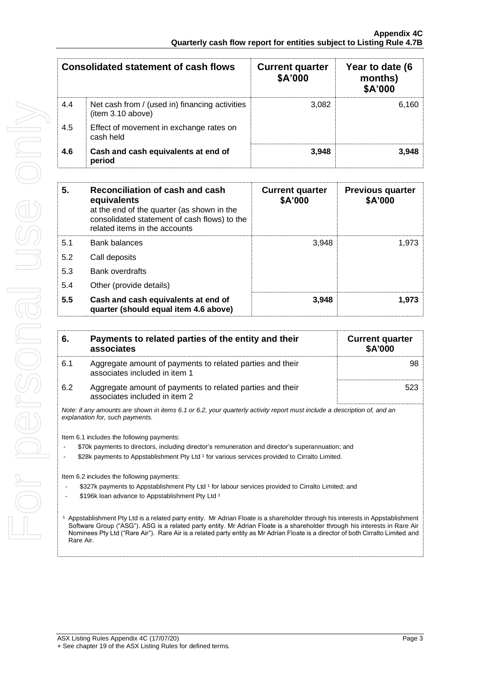| <b>Consolidated statement of cash flows</b> |                                                                     | <b>Current quarter</b><br>\$A'000 | Year to date (6<br>months)<br>\$A'000 |
|---------------------------------------------|---------------------------------------------------------------------|-----------------------------------|---------------------------------------|
| 4.4                                         | Net cash from / (used in) financing activities<br>(item 3.10 above) | 3,082                             | 6.160                                 |
| 4.5                                         | Effect of movement in exchange rates on<br>cash held                |                                   |                                       |
| 4.6                                         | Cash and cash equivalents at end of<br>period                       | 3.948                             | 3.948                                 |

| 5.  | Reconciliation of cash and cash<br>equivalents<br>at the end of the quarter (as shown in the<br>consolidated statement of cash flows) to the<br>related items in the accounts | <b>Current quarter</b><br>\$A'000 | <b>Previous quarter</b><br>\$A'000 |
|-----|-------------------------------------------------------------------------------------------------------------------------------------------------------------------------------|-----------------------------------|------------------------------------|
| 5.1 | Bank balances                                                                                                                                                                 | 3.948                             | 1.973                              |
| 5.2 | Call deposits                                                                                                                                                                 |                                   |                                    |
| 5.3 | <b>Bank overdrafts</b>                                                                                                                                                        |                                   |                                    |
| 5.4 | Other (provide details)                                                                                                                                                       |                                   |                                    |
| 5.5 | Cash and cash equivalents at end of<br>quarter (should equal item 4.6 above)                                                                                                  | 3.948                             | 1.973                              |

| 6.                                                                                                                                                                                                                                                                                                                                                                                                           | Payments to related parties of the entity and their<br>associates                                                                                                                                                                                                                                                                                                                                                                                                                        | <b>Current quarter</b><br><b>\$A'000</b> |  |  |
|--------------------------------------------------------------------------------------------------------------------------------------------------------------------------------------------------------------------------------------------------------------------------------------------------------------------------------------------------------------------------------------------------------------|------------------------------------------------------------------------------------------------------------------------------------------------------------------------------------------------------------------------------------------------------------------------------------------------------------------------------------------------------------------------------------------------------------------------------------------------------------------------------------------|------------------------------------------|--|--|
| 6.1                                                                                                                                                                                                                                                                                                                                                                                                          | Aggregate amount of payments to related parties and their<br>associates included in item 1                                                                                                                                                                                                                                                                                                                                                                                               | 98                                       |  |  |
| 6.2                                                                                                                                                                                                                                                                                                                                                                                                          | Aggregate amount of payments to related parties and their<br>associates included in item 2                                                                                                                                                                                                                                                                                                                                                                                               | 523                                      |  |  |
|                                                                                                                                                                                                                                                                                                                                                                                                              | Note: if any amounts are shown in items 6.1 or 6.2, your quarterly activity report must include a description of, and an<br>explanation for, such payments.                                                                                                                                                                                                                                                                                                                              |                                          |  |  |
|                                                                                                                                                                                                                                                                                                                                                                                                              | Item 6.1 includes the following payments:<br>\$70k payments to directors, including director's remuneration and director's superannuation; and<br>\$28k payments to Appstablishment Pty Ltd <sup>1</sup> for various services provided to Cirralto Limited.<br>Item 6.2 includes the following payments:<br>\$327k payments to Appstablishment Pty Ltd <sup>1</sup> for labour services provided to Cirralto Limited; and<br>\$196k loan advance to Appstablishment Pty Ltd <sup>1</sup> |                                          |  |  |
| Appstablishment Pty Ltd is a related party entity. Mr Adrian Floate is a shareholder through his interests in Appstablishment<br>Software Group ("ASG"). ASG is a related party entity. Mr Adrian Floate is a shareholder through his interests in Rare Air<br>Nominees Pty Ltd ("Rare Air"). Rare Air is a related party entity as Mr Adrian Floate is a director of both Cirralto Limited and<br>Rare Air. |                                                                                                                                                                                                                                                                                                                                                                                                                                                                                          |                                          |  |  |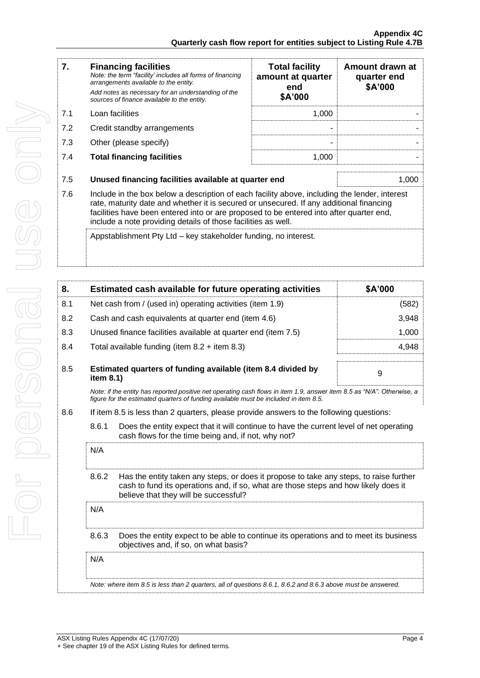| 7.  | <b>Financing facilities</b><br>Note: the term "facility' includes all forms of financing<br>arrangements available to the entity.<br>Add notes as necessary for an understanding of the<br>sources of finance available to the entity.                                                                                                               | <b>Total facility</b><br>amount at quarter<br>end<br>\$A'000 | Amount drawn at<br>quarter end<br>\$A'000 |
|-----|------------------------------------------------------------------------------------------------------------------------------------------------------------------------------------------------------------------------------------------------------------------------------------------------------------------------------------------------------|--------------------------------------------------------------|-------------------------------------------|
| 7.1 | Loan facilities                                                                                                                                                                                                                                                                                                                                      | 1,000                                                        |                                           |
| 7.2 | Credit standby arrangements                                                                                                                                                                                                                                                                                                                          |                                                              |                                           |
| 7.3 | Other (please specify)                                                                                                                                                                                                                                                                                                                               |                                                              |                                           |
| 7.4 | <b>Total financing facilities</b>                                                                                                                                                                                                                                                                                                                    | 1,000                                                        |                                           |
| 7.5 | Unused financing facilities available at quarter end<br>1,000                                                                                                                                                                                                                                                                                        |                                                              |                                           |
| 7.6 | Include in the box below a description of each facility above, including the lender, interest<br>rate, maturity date and whether it is secured or unsecured. If any additional financing<br>facilities have been entered into or are proposed to be entered into after quarter end,<br>include a note providing details of those facilities as well. |                                                              |                                           |
|     | Appstablishment Pty Ltd – key stakeholder funding, no interest.                                                                                                                                                                                                                                                                                      |                                                              |                                           |

| 8.  |                                                                                                                                                         | Estimated cash available for future operating activities                                                                                                                                                               | \$A'000 |
|-----|---------------------------------------------------------------------------------------------------------------------------------------------------------|------------------------------------------------------------------------------------------------------------------------------------------------------------------------------------------------------------------------|---------|
| 8.1 |                                                                                                                                                         | Net cash from / (used in) operating activities (item 1.9)                                                                                                                                                              | (582)   |
| 8.2 |                                                                                                                                                         | Cash and cash equivalents at quarter end (item 4.6)                                                                                                                                                                    | 3,948   |
| 8.3 |                                                                                                                                                         | Unused finance facilities available at quarter end (item 7.5)                                                                                                                                                          | 1,000   |
| 8.4 |                                                                                                                                                         | Total available funding (item $8.2 +$ item $8.3$ )                                                                                                                                                                     | 4,948   |
| 8.5 | item 8.1)                                                                                                                                               | Estimated quarters of funding available (item 8.4 divided by                                                                                                                                                           | 9       |
|     |                                                                                                                                                         | Note: if the entity has reported positive net operating cash flows in item 1.9, answer item 8.5 as "N/A". Otherwise, a<br>figure for the estimated quarters of funding available must be included in item 8.5.         |         |
| 8.6 |                                                                                                                                                         | If item 8.5 is less than 2 quarters, please provide answers to the following questions:                                                                                                                                |         |
|     | 8.6.1<br>Does the entity expect that it will continue to have the current level of net operating<br>cash flows for the time being and, if not, why not? |                                                                                                                                                                                                                        |         |
|     | N/A                                                                                                                                                     |                                                                                                                                                                                                                        |         |
|     | 8.6.2                                                                                                                                                   | Has the entity taken any steps, or does it propose to take any steps, to raise further<br>cash to fund its operations and, if so, what are those steps and how likely does it<br>believe that they will be successful? |         |
|     | N/A                                                                                                                                                     |                                                                                                                                                                                                                        |         |
|     | 8.6.3                                                                                                                                                   | Does the entity expect to be able to continue its operations and to meet its business<br>objectives and, if so, on what basis?                                                                                         |         |
|     | N/A                                                                                                                                                     |                                                                                                                                                                                                                        |         |
|     |                                                                                                                                                         | Note: where item 8.5 is less than 2 quarters, all of questions 8.6.1, 8.6.2 and 8.6.3 above must be answered.                                                                                                          |         |